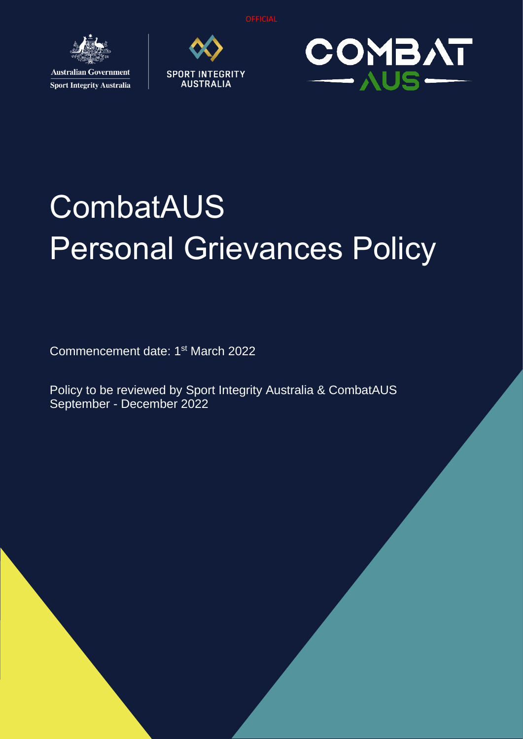**OFFICIAL** 



**Sport Integrity Australia** 





# **CombatAUS** Personal Grievances Policy

Commencement date: 1<sup>st</sup> March 2022

Policy to be reviewed by Sport Integrity Australia & CombatAUS September - December 2022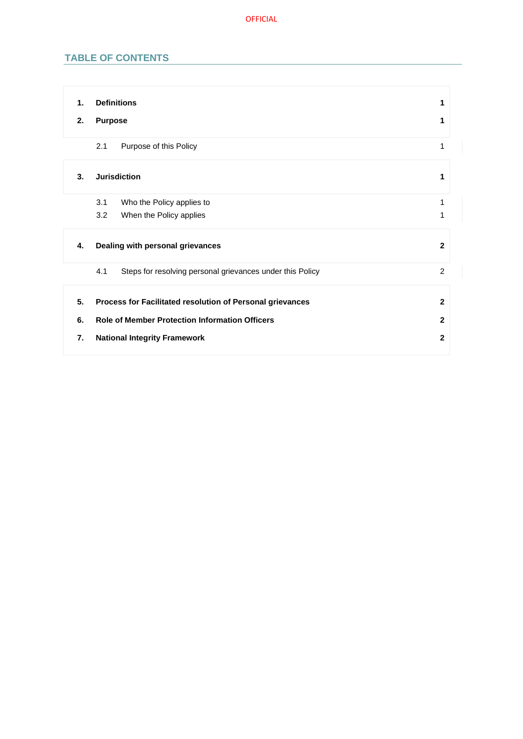# **TABLE OF CONTENTS**

| 1. | <b>Definitions</b>                                               | 1              |
|----|------------------------------------------------------------------|----------------|
| 2. | <b>Purpose</b>                                                   | 1              |
|    | Purpose of this Policy<br>2.1                                    | 1              |
| 3. | <b>Jurisdiction</b>                                              | 1              |
|    | Who the Policy applies to<br>3.1                                 | 1              |
|    | 3.2<br>When the Policy applies                                   | 1              |
| 4. | Dealing with personal grievances                                 | $\overline{2}$ |
|    | 4.1<br>Steps for resolving personal grievances under this Policy | 2              |
| 5. | Process for Facilitated resolution of Personal grievances        | $\mathbf{2}$   |
| 6. | <b>Role of Member Protection Information Officers</b>            | $\mathbf{2}$   |
|    |                                                                  |                |
| 7. | <b>National Integrity Framework</b>                              | $\mathbf{2}$   |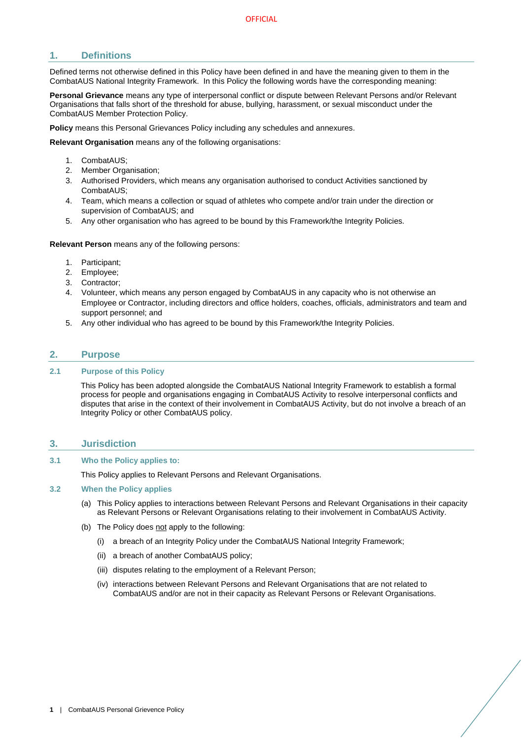# <span id="page-2-0"></span>**1. Definitions**

Defined terms not otherwise defined in this Policy have been defined in and have the meaning given to them in the CombatAUS National Integrity Framework. In this Policy the following words have the corresponding meaning:

**Personal Grievance** means any type of interpersonal conflict or dispute between Relevant Persons and/or Relevant Organisations that falls short of the threshold for abuse, bullying, harassment, or sexual misconduct under the CombatAUS Member Protection Policy.

**Policy** means this Personal Grievances Policy including any schedules and annexures.

**Relevant Organisation** means any of the following organisations:

- 1. CombatAUS;
- 2. Member Organisation;
- 3. Authorised Providers, which means any organisation authorised to conduct Activities sanctioned by CombatAUS;
- 4. Team, which means a collection or squad of athletes who compete and/or train under the direction or supervision of CombatAUS; and
- 5. Any other organisation who has agreed to be bound by this Framework/the Integrity Policies.

**Relevant Person** means any of the following persons:

- 1. Participant;
- 2. Employee;
- 3. Contractor;
- 4. Volunteer, which means any person engaged by CombatAUS in any capacity who is not otherwise an Employee or Contractor, including directors and office holders, coaches, officials, administrators and team and support personnel; and
- 5. Any other individual who has agreed to be bound by this Framework/the Integrity Policies.

# <span id="page-2-1"></span>**2. Purpose**

#### <span id="page-2-2"></span>**2.1 Purpose of this Policy**

This Policy has been adopted alongside the CombatAUS National Integrity Framework to establish a formal process for people and organisations engaging in CombatAUS Activity to resolve interpersonal conflicts and disputes that arise in the context of their involvement in CombatAUS Activity, but do not involve a breach of an Integrity Policy or other CombatAUS policy.

#### <span id="page-2-3"></span>**3. Jurisdiction**

#### <span id="page-2-4"></span>**3.1 Who the Policy applies to:**

This Policy applies to Relevant Persons and Relevant Organisations.

#### <span id="page-2-5"></span>**3.2 When the Policy applies**

- (a) This Policy applies to interactions between Relevant Persons and Relevant Organisations in their capacity as Relevant Persons or Relevant Organisations relating to their involvement in CombatAUS Activity.
- (b) The Policy does not apply to the following:
	- (i) a breach of an Integrity Policy under the CombatAUS National Integrity Framework;
	- (ii) a breach of another CombatAUS policy;
	- (iii) disputes relating to the employment of a Relevant Person;
	- (iv) interactions between Relevant Persons and Relevant Organisations that are not related to CombatAUS and/or are not in their capacity as Relevant Persons or Relevant Organisations.